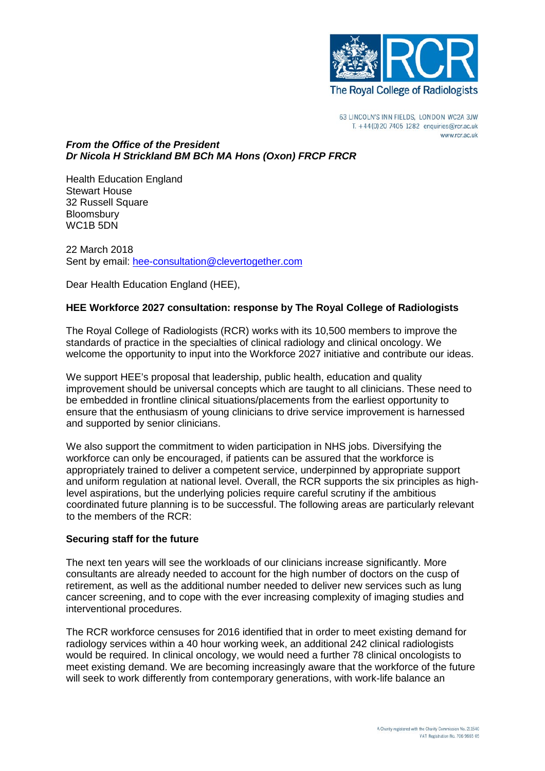

63 LINCOLN'S INN FIELDS, LONDON WC2A 3JW T. +44(0)20 7405 1282 enquiries@rcr.ac.uk www.rcr.ac.uk

### *From the Office of the President Dr Nicola H Strickland BM BCh MA Hons (Oxon) FRCP FRCR*

Health Education England Stewart House 32 Russell Square **Bloomsbury** WC<sub>1</sub>B<sub>5</sub>DN

22 March 2018 Sent by email: [hee-consultation@clevertogether.com](mailto:hee-consultation@clevertogether.com)

Dear Health Education England (HEE),

# **HEE Workforce 2027 consultation: response by The Royal College of Radiologists**

The Royal College of Radiologists (RCR) works with its 10,500 members to improve the standards of practice in the specialties of clinical radiology and clinical oncology. We welcome the opportunity to input into the Workforce 2027 initiative and contribute our ideas.

We support HEE's proposal that leadership, public health, education and quality improvement should be universal concepts which are taught to all clinicians. These need to be embedded in frontline clinical situations/placements from the earliest opportunity to ensure that the enthusiasm of young clinicians to drive service improvement is harnessed and supported by senior clinicians.

We also support the commitment to widen participation in NHS jobs. Diversifying the workforce can only be encouraged, if patients can be assured that the workforce is appropriately trained to deliver a competent service, underpinned by appropriate support and uniform regulation at national level. Overall, the RCR supports the six principles as highlevel aspirations, but the underlying policies require careful scrutiny if the ambitious coordinated future planning is to be successful. The following areas are particularly relevant to the members of the RCR:

# **Securing staff for the future**

The next ten years will see the workloads of our clinicians increase significantly. More consultants are already needed to account for the high number of doctors on the cusp of retirement, as well as the additional number needed to deliver new services such as lung cancer screening, and to cope with the ever increasing complexity of imaging studies and interventional procedures.

The RCR workforce censuses for 2016 identified that in order to meet existing demand for radiology services within a 40 hour working week, an additional 242 clinical radiologists would be required. In clinical oncology, we would need a further 78 clinical oncologists to meet existing demand. We are becoming increasingly aware that the workforce of the future will seek to work differently from contemporary generations, with work-life balance an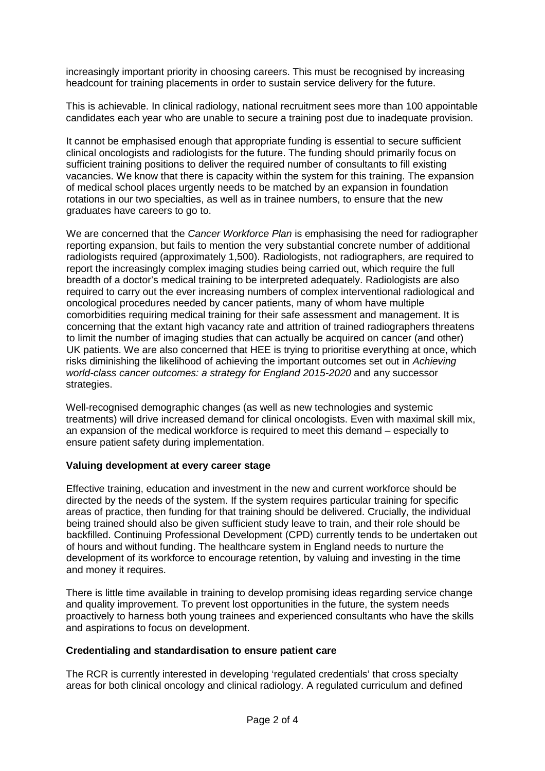increasingly important priority in choosing careers. This must be recognised by increasing headcount for training placements in order to sustain service delivery for the future.

This is achievable. In clinical radiology, national recruitment sees more than 100 appointable candidates each year who are unable to secure a training post due to inadequate provision.

It cannot be emphasised enough that appropriate funding is essential to secure sufficient clinical oncologists and radiologists for the future. The funding should primarily focus on sufficient training positions to deliver the required number of consultants to fill existing vacancies. We know that there is capacity within the system for this training. The expansion of medical school places urgently needs to be matched by an expansion in foundation rotations in our two specialties, as well as in trainee numbers, to ensure that the new graduates have careers to go to.

We are concerned that the *Cancer Workforce Plan* is emphasising the need for radiographer reporting expansion, but fails to mention the very substantial concrete number of additional radiologists required (approximately 1,500). Radiologists, not radiographers, are required to report the increasingly complex imaging studies being carried out, which require the full breadth of a doctor's medical training to be interpreted adequately. Radiologists are also required to carry out the ever increasing numbers of complex interventional radiological and oncological procedures needed by cancer patients, many of whom have multiple comorbidities requiring medical training for their safe assessment and management. It is concerning that the extant high vacancy rate and attrition of trained radiographers threatens to limit the number of imaging studies that can actually be acquired on cancer (and other) UK patients. We are also concerned that HEE is trying to prioritise everything at once, which risks diminishing the likelihood of achieving the important outcomes set out in *Achieving world-class cancer outcomes: a strategy for England 2015-2020* and any successor strategies.

Well-recognised demographic changes (as well as new technologies and systemic treatments) will drive increased demand for clinical oncologists. Even with maximal skill mix, an expansion of the medical workforce is required to meet this demand – especially to ensure patient safety during implementation.

### **Valuing development at every career stage**

Effective training, education and investment in the new and current workforce should be directed by the needs of the system. If the system requires particular training for specific areas of practice, then funding for that training should be delivered. Crucially, the individual being trained should also be given sufficient study leave to train, and their role should be backfilled. Continuing Professional Development (CPD) currently tends to be undertaken out of hours and without funding. The healthcare system in England needs to nurture the development of its workforce to encourage retention, by valuing and investing in the time and money it requires.

There is little time available in training to develop promising ideas regarding service change and quality improvement. To prevent lost opportunities in the future, the system needs proactively to harness both young trainees and experienced consultants who have the skills and aspirations to focus on development.

### **Credentialing and standardisation to ensure patient care**

The RCR is currently interested in developing 'regulated credentials' that cross specialty areas for both clinical oncology and clinical radiology. A regulated curriculum and defined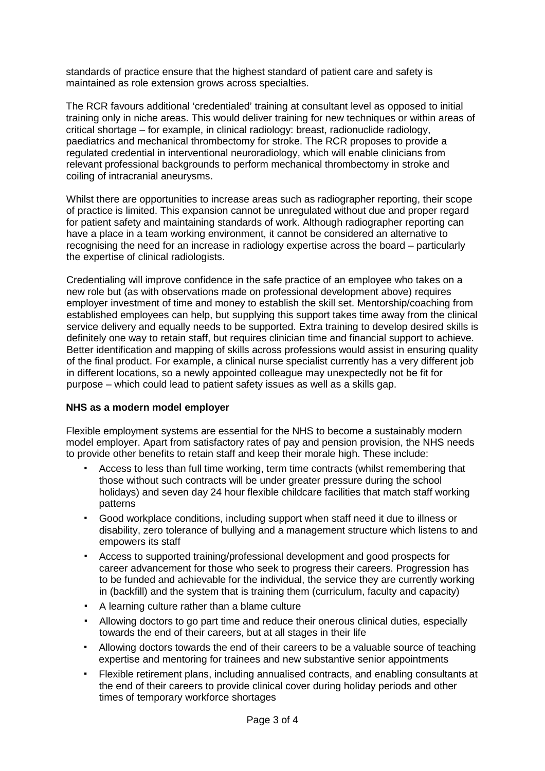standards of practice ensure that the highest standard of patient care and safety is maintained as role extension grows across specialties.

The RCR favours additional 'credentialed' training at consultant level as opposed to initial training only in niche areas. This would deliver training for new techniques or within areas of critical shortage – for example, in clinical radiology: breast, radionuclide radiology, paediatrics and mechanical thrombectomy for stroke. The RCR proposes to provide a regulated credential in interventional neuroradiology, which will enable clinicians from relevant professional backgrounds to perform mechanical thrombectomy in stroke and coiling of intracranial aneurysms.

Whilst there are opportunities to increase areas such as radiographer reporting, their scope of practice is limited. This expansion cannot be unregulated without due and proper regard for patient safety and maintaining standards of work. Although radiographer reporting can have a place in a team working environment, it cannot be considered an alternative to recognising the need for an increase in radiology expertise across the board – particularly the expertise of clinical radiologists.

Credentialing will improve confidence in the safe practice of an employee who takes on a new role but (as with observations made on professional development above) requires employer investment of time and money to establish the skill set. Mentorship/coaching from established employees can help, but supplying this support takes time away from the clinical service delivery and equally needs to be supported. Extra training to develop desired skills is definitely one way to retain staff, but requires clinician time and financial support to achieve. Better identification and mapping of skills across professions would assist in ensuring quality of the final product. For example, a clinical nurse specialist currently has a very different job in different locations, so a newly appointed colleague may unexpectedly not be fit for purpose – which could lead to patient safety issues as well as a skills gap.

### **NHS as a modern model employer**

Flexible employment systems are essential for the NHS to become a sustainably modern model employer. Apart from satisfactory rates of pay and pension provision, the NHS needs to provide other benefits to retain staff and keep their morale high. These include:

- Access to less than full time working, term time contracts (whilst remembering that those without such contracts will be under greater pressure during the school holidays) and seven day 24 hour flexible childcare facilities that match staff working patterns
- Good workplace conditions, including support when staff need it due to illness or disability, zero tolerance of bullying and a management structure which listens to and empowers its staff
- Access to supported training/professional development and good prospects for career advancement for those who seek to progress their careers. Progression has to be funded and achievable for the individual, the service they are currently working in (backfill) and the system that is training them (curriculum, faculty and capacity)
- A learning culture rather than a blame culture
- Allowing doctors to go part time and reduce their onerous clinical duties, especially towards the end of their careers, but at all stages in their life
- Allowing doctors towards the end of their careers to be a valuable source of teaching expertise and mentoring for trainees and new substantive senior appointments
- Flexible retirement plans, including annualised contracts, and enabling consultants at the end of their careers to provide clinical cover during holiday periods and other times of temporary workforce shortages